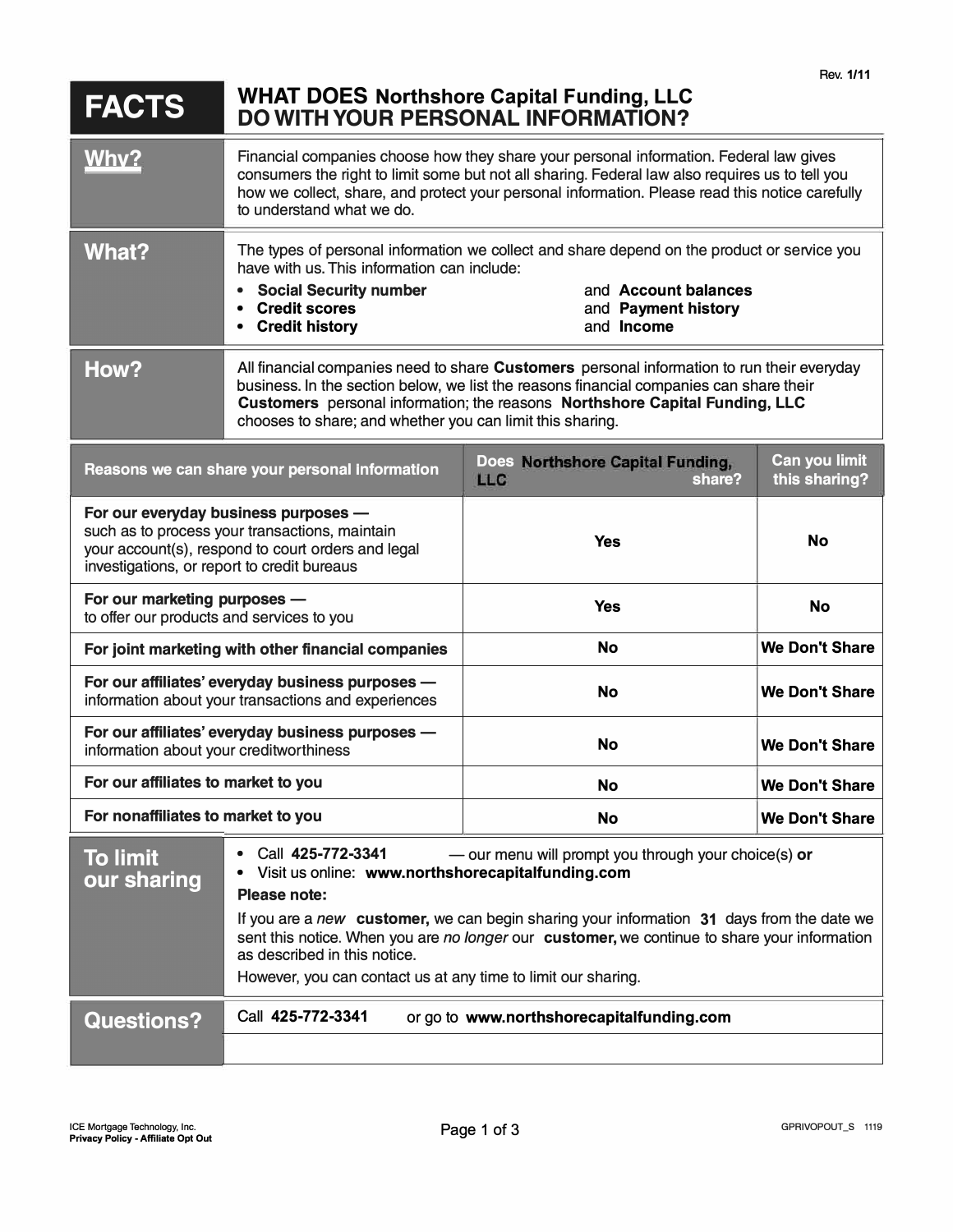| <b>FACTS</b>                                                                                                                                                                                | <b>WHAT DOES Northshore Capital Funding, LLC</b><br><b>DO WITH YOUR PERSONAL INFORMATION?</b>                                                                                                                                                                                                                                                                                                                                                             |                                                          |                                |
|---------------------------------------------------------------------------------------------------------------------------------------------------------------------------------------------|-----------------------------------------------------------------------------------------------------------------------------------------------------------------------------------------------------------------------------------------------------------------------------------------------------------------------------------------------------------------------------------------------------------------------------------------------------------|----------------------------------------------------------|--------------------------------|
| Why?                                                                                                                                                                                        | Financial companies choose how they share your personal information. Federal law gives<br>consumers the right to limit some but not all sharing. Federal law also requires us to tell you<br>how we collect, share, and protect your personal information. Please read this notice carefully<br>to understand what we do.                                                                                                                                 |                                                          |                                |
| What?                                                                                                                                                                                       | The types of personal information we collect and share depend on the product or service you<br>have with us. This information can include:<br><b>Social Security number</b><br>and Account balances<br>$\bullet$<br><b>Credit scores</b><br>and Payment history<br>$\bullet$<br><b>Credit history</b><br>and <b>Income</b><br>$\bullet$                                                                                                                   |                                                          |                                |
| How?                                                                                                                                                                                        | All financial companies need to share Customers personal information to run their everyday<br>business. In the section below, we list the reasons financial companies can share their<br>Customers personal information; the reasons Northshore Capital Funding, LLC<br>chooses to share; and whether you can limit this sharing.                                                                                                                         |                                                          |                                |
| Reasons we can share your personal information                                                                                                                                              |                                                                                                                                                                                                                                                                                                                                                                                                                                                           | Does Northshore Capital Funding,<br><b>LLC</b><br>share? | Can you limit<br>this sharing? |
| For our everyday business purposes -<br>such as to process your transactions, maintain<br>your account(s), respond to court orders and legal<br>investigations, or report to credit bureaus |                                                                                                                                                                                                                                                                                                                                                                                                                                                           | <b>Yes</b>                                               | <b>No</b>                      |
| For our marketing purposes -<br>to offer our products and services to you                                                                                                                   |                                                                                                                                                                                                                                                                                                                                                                                                                                                           | <b>Yes</b>                                               | <b>No</b>                      |
| For joint marketing with other financial companies                                                                                                                                          |                                                                                                                                                                                                                                                                                                                                                                                                                                                           | <b>No</b>                                                | <b>We Don't Share</b>          |
| For our affiliates' everyday business purposes -<br>information about your transactions and experiences                                                                                     |                                                                                                                                                                                                                                                                                                                                                                                                                                                           | <b>No</b>                                                | <b>We Don't Share</b>          |
| For our affiliates' everyday business purposes -<br>information about your creditworthiness                                                                                                 |                                                                                                                                                                                                                                                                                                                                                                                                                                                           | No                                                       | <b>We Don't Share</b>          |
| For our affiliates to market to you                                                                                                                                                         |                                                                                                                                                                                                                                                                                                                                                                                                                                                           | <b>No</b>                                                | <b>We Don't Share</b>          |
| For nonaffiliates to market to you                                                                                                                                                          |                                                                                                                                                                                                                                                                                                                                                                                                                                                           | <b>No</b>                                                | <b>We Don't Share</b>          |
| <b>To limit</b><br>our sharing                                                                                                                                                              | Call 425-772-3341<br>- our menu will prompt you through your choice(s) or<br>$\bullet$<br>Visit us online: www.northshorecapitalfunding.com<br>Please note:<br>If you are a new customer, we can begin sharing your information 31 days from the date we<br>sent this notice. When you are no longer our customer, we continue to share your information<br>as described in this notice.<br>However, you can contact us at any time to limit our sharing. |                                                          |                                |
| <b>Questions?</b>                                                                                                                                                                           | Call 425-772-3341<br>or go to www.northshorecapitalfunding.com                                                                                                                                                                                                                                                                                                                                                                                            |                                                          |                                |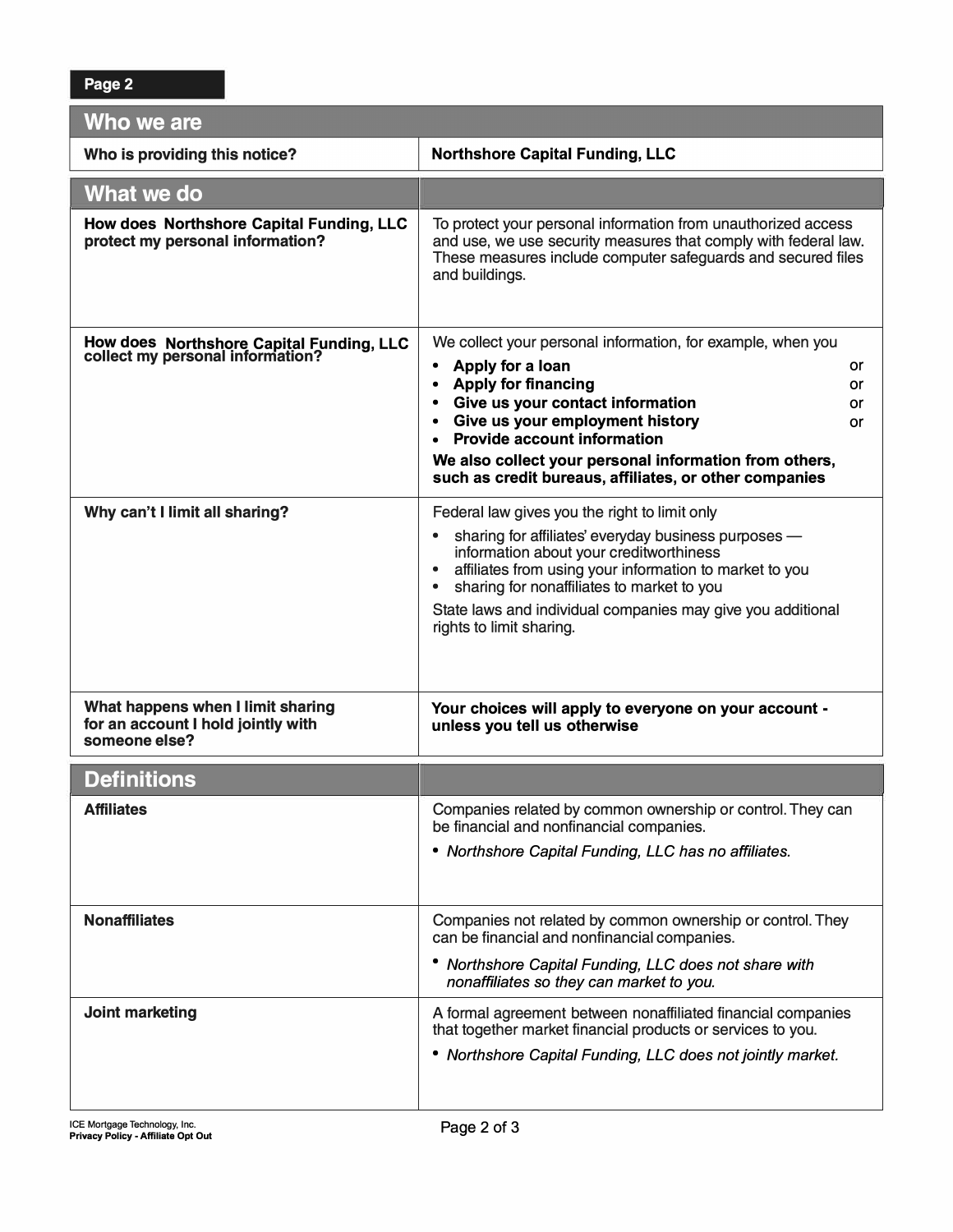| Who we are                                                                               |                                                                                                                                                                                                                    |  |  |  |
|------------------------------------------------------------------------------------------|--------------------------------------------------------------------------------------------------------------------------------------------------------------------------------------------------------------------|--|--|--|
| Who is providing this notice?                                                            | <b>Northshore Capital Funding, LLC</b>                                                                                                                                                                             |  |  |  |
| What we do                                                                               |                                                                                                                                                                                                                    |  |  |  |
| How does Northshore Capital Funding, LLC<br>protect my personal information?             | To protect your personal information from unauthorized access<br>and use, we use security measures that comply with federal law.<br>These measures include computer safeguards and secured files<br>and buildings. |  |  |  |
| How does Northshore Capital Funding, LLC<br>collect my personal information?             | We collect your personal information, for example, when you                                                                                                                                                        |  |  |  |
|                                                                                          | Apply for a loan<br>$\bullet$<br>or<br>$\bullet$                                                                                                                                                                   |  |  |  |
|                                                                                          | <b>Apply for financing</b><br>or<br>Give us your contact information<br>$\bullet$<br>or                                                                                                                            |  |  |  |
|                                                                                          | Give us your employment history<br>or                                                                                                                                                                              |  |  |  |
|                                                                                          | <b>Provide account information</b><br>$\bullet$                                                                                                                                                                    |  |  |  |
|                                                                                          | We also collect your personal information from others,<br>such as credit bureaus, affiliates, or other companies                                                                                                   |  |  |  |
| Why can't I limit all sharing?                                                           | Federal law gives you the right to limit only                                                                                                                                                                      |  |  |  |
|                                                                                          | sharing for affiliates' everyday business purposes -                                                                                                                                                               |  |  |  |
|                                                                                          | information about your creditworthiness<br>$\bullet$                                                                                                                                                               |  |  |  |
|                                                                                          | affiliates from using your information to market to you<br>sharing for nonaffiliates to market to you<br>$\bullet$                                                                                                 |  |  |  |
|                                                                                          | State laws and individual companies may give you additional                                                                                                                                                        |  |  |  |
|                                                                                          | rights to limit sharing.                                                                                                                                                                                           |  |  |  |
| What happens when I limit sharing<br>for an account I hold jointly with<br>someone else? | Your choices will apply to everyone on your account -<br>unless you tell us otherwise                                                                                                                              |  |  |  |
| <b>Definitions</b>                                                                       |                                                                                                                                                                                                                    |  |  |  |
| <b>Affiliates</b>                                                                        | Companies related by common ownership or control. They can<br>be financial and nonfinancial companies.                                                                                                             |  |  |  |
|                                                                                          | • Northshore Capital Funding, LLC has no affiliates.                                                                                                                                                               |  |  |  |
|                                                                                          |                                                                                                                                                                                                                    |  |  |  |
| <b>Nonaffiliates</b>                                                                     | Companies not related by common ownership or control. They<br>can be financial and nonfinancial companies.                                                                                                         |  |  |  |
|                                                                                          | • Northshore Capital Funding, LLC does not share with<br>nonaffiliates so they can market to you.                                                                                                                  |  |  |  |
| <b>Joint marketing</b>                                                                   | A formal agreement between nonaffiliated financial companies<br>that together market financial products or services to you.                                                                                        |  |  |  |
|                                                                                          | • Northshore Capital Funding, LLC does not jointly market.                                                                                                                                                         |  |  |  |
|                                                                                          |                                                                                                                                                                                                                    |  |  |  |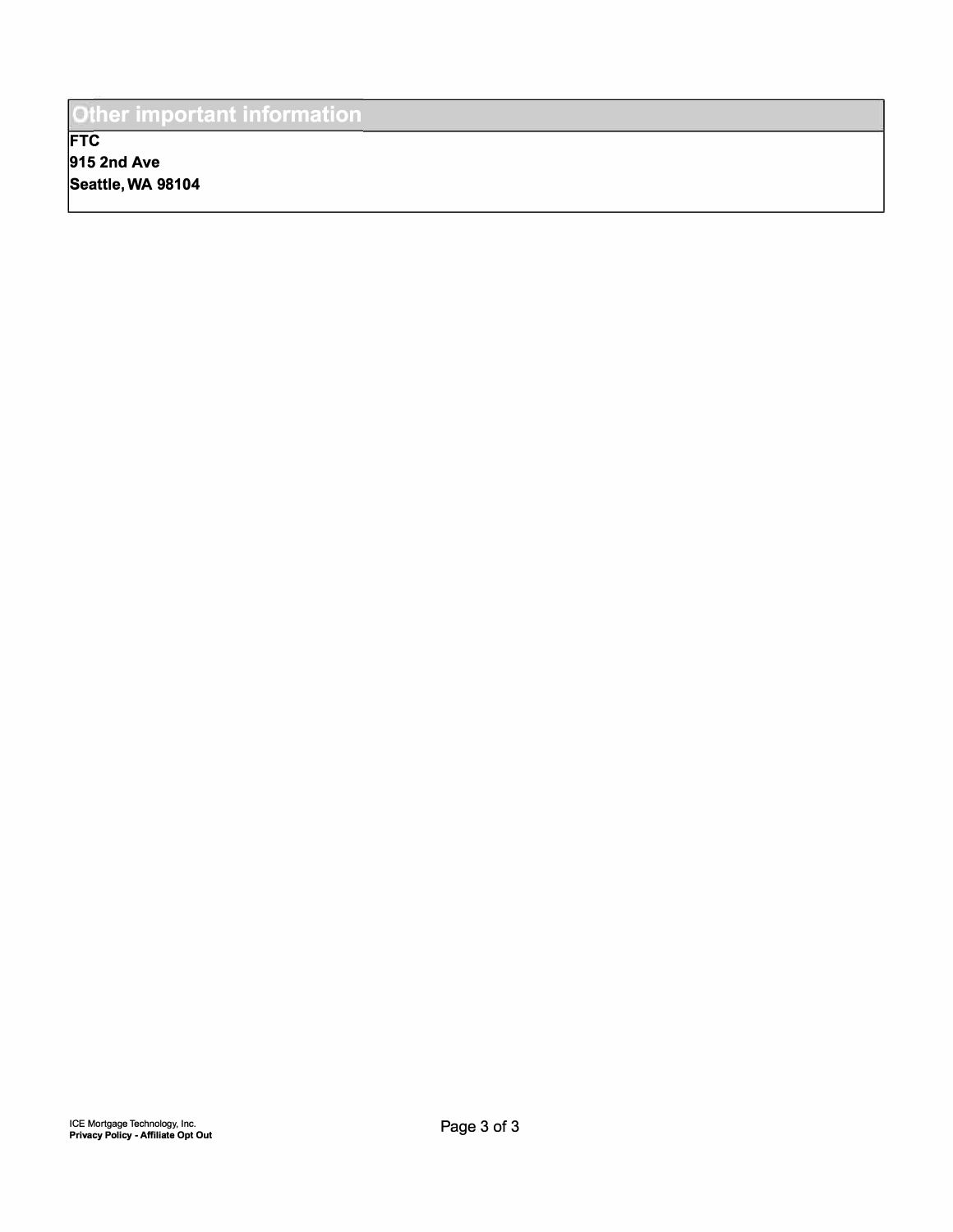## Other important information

**FTC 915 2nd Ave Seattle, WA 98104**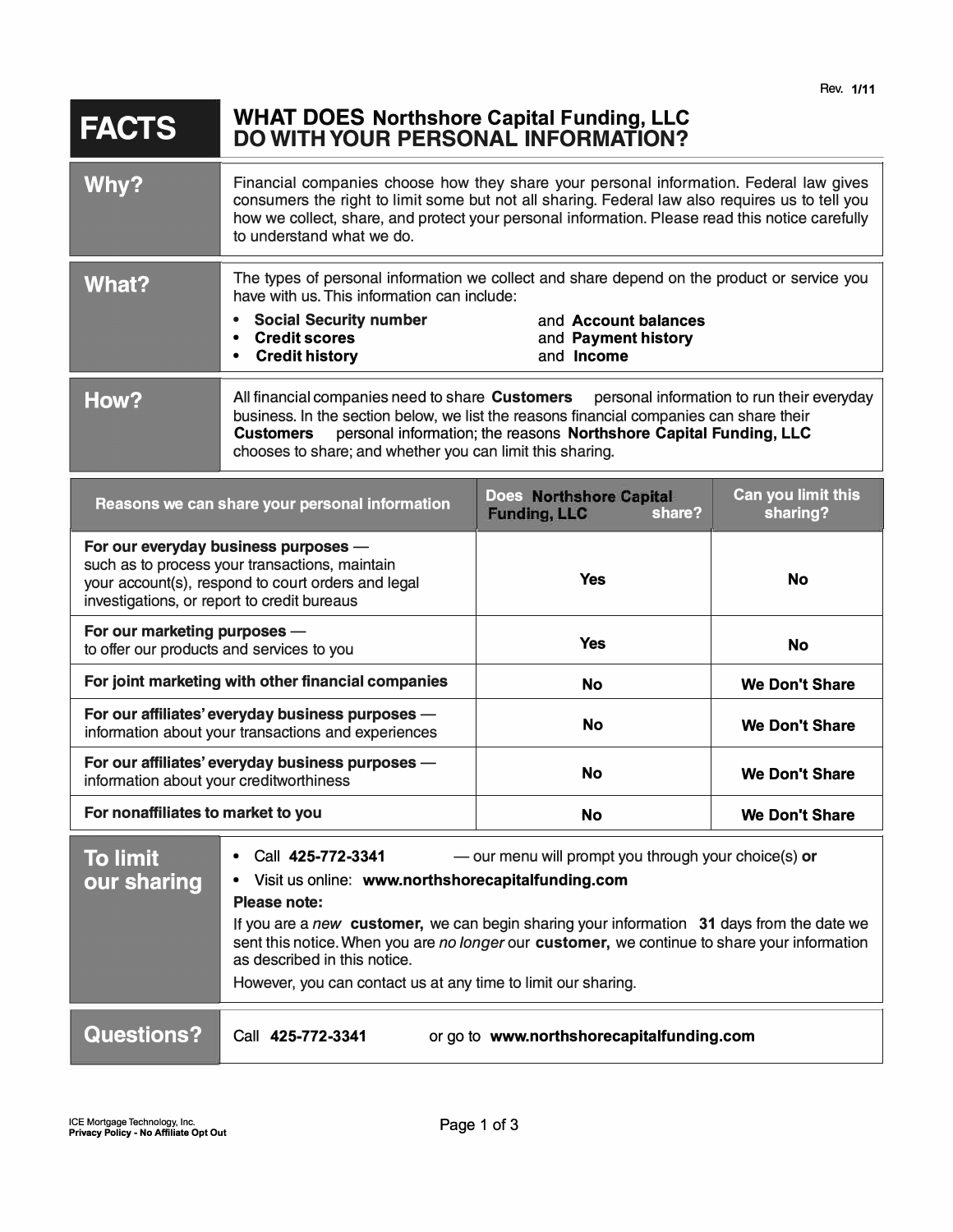## **FACTS WHAT DOES Northshore Capital Funding, LLC DO WITH YOUR PERSONAL INFORMATION?**

| Why?                                                                                                                                                                                                                                                                            | Financial companies choose how they share your personal information. Federal law gives<br>consumers the right to limit some but not all sharing. Federal law also requires us to tell you<br>how we collect, share, and protect your personal information. Please read this notice carefully<br>to understand what we do.                   |                                                                                                                                                          |                                |
|---------------------------------------------------------------------------------------------------------------------------------------------------------------------------------------------------------------------------------------------------------------------------------|---------------------------------------------------------------------------------------------------------------------------------------------------------------------------------------------------------------------------------------------------------------------------------------------------------------------------------------------|----------------------------------------------------------------------------------------------------------------------------------------------------------|--------------------------------|
| <b>What?</b>                                                                                                                                                                                                                                                                    | have with us. This information can include:<br><b>Social Security number</b><br><b>Credit scores</b><br>$\bullet$<br><b>Credit history</b><br>$\bullet$                                                                                                                                                                                     | The types of personal information we collect and share depend on the product or service you<br>and Account balances<br>and Payment history<br>and Income |                                |
| How?                                                                                                                                                                                                                                                                            | All financial companies need to share Customers personal information to run their everyday<br>business. In the section below, we list the reasons financial companies can share their<br>personal information; the reasons Northshore Capital Funding, LLC<br><b>Customers</b><br>chooses to share; and whether you can limit this sharing. |                                                                                                                                                          |                                |
| Reasons we can share your personal information                                                                                                                                                                                                                                  |                                                                                                                                                                                                                                                                                                                                             | <b>Does Northshore Capital</b><br><b>Funding, LLC</b><br>share?                                                                                          | Can you limit this<br>sharing? |
| For our everyday business purposes -<br>such as to process your transactions, maintain<br>your account(s), respond to court orders and legal<br>investigations, or report to credit bureaus                                                                                     |                                                                                                                                                                                                                                                                                                                                             | <b>Yes</b>                                                                                                                                               | <b>No</b>                      |
| For our marketing purposes -<br>to offer our products and services to you                                                                                                                                                                                                       |                                                                                                                                                                                                                                                                                                                                             | Yes                                                                                                                                                      | No                             |
| For joint marketing with other financial companies                                                                                                                                                                                                                              |                                                                                                                                                                                                                                                                                                                                             | No                                                                                                                                                       | <b>We Don't Share</b>          |
| For our affiliates' everyday business purposes -<br>information about your transactions and experiences                                                                                                                                                                         |                                                                                                                                                                                                                                                                                                                                             | No                                                                                                                                                       | <b>We Don't Share</b>          |
| For our affiliates' everyday business purposes -<br>information about your creditworthiness                                                                                                                                                                                     |                                                                                                                                                                                                                                                                                                                                             | No                                                                                                                                                       | <b>We Don't Share</b>          |
| For nonaffiliates to market to you                                                                                                                                                                                                                                              |                                                                                                                                                                                                                                                                                                                                             | No                                                                                                                                                       | <b>We Don't Share</b>          |
| <b>To limit</b><br>Call 425-772-3341<br>- our menu will prompt you through your choice(s) or<br>• Visit us online: www.northshorecapitalfunding.com<br>our sharing<br>Please note:<br>If you are a new customer, we can begin sharing your information 31 days from the date we |                                                                                                                                                                                                                                                                                                                                             |                                                                                                                                                          |                                |

sent this notice. When you are *no longer* our **customer,** we continue to share your information as described in this notice.

However, you can contact us at any time to limit our sharing.

**Questions?** 

Call **425-772-3341** or go to **www.northshorecapitalfunding.com**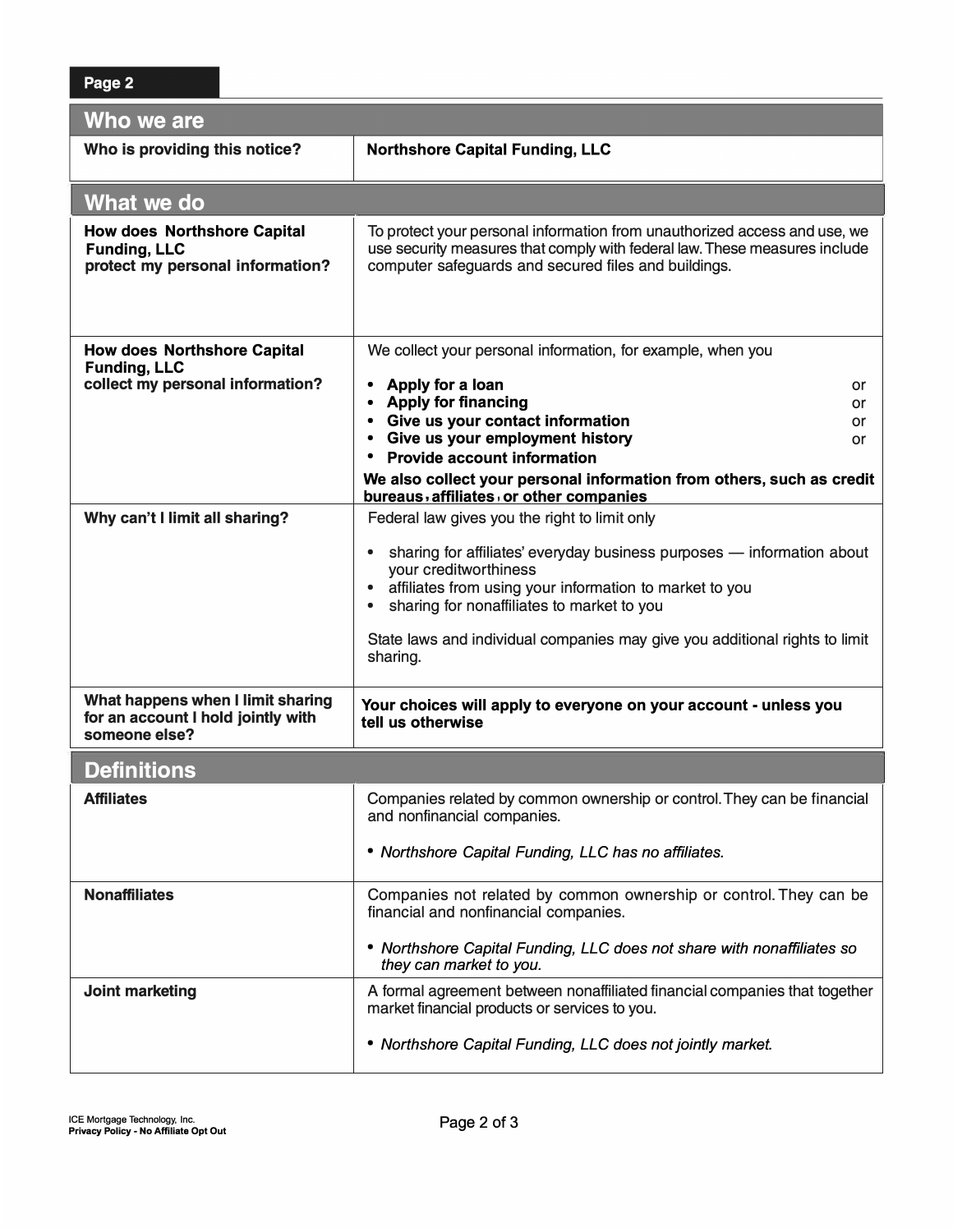| Who we are                                                                                    |                                                                                                                                                                                                                                                                                                                                            |  |  |  |
|-----------------------------------------------------------------------------------------------|--------------------------------------------------------------------------------------------------------------------------------------------------------------------------------------------------------------------------------------------------------------------------------------------------------------------------------------------|--|--|--|
| Who is providing this notice?                                                                 | <b>Northshore Capital Funding, LLC</b>                                                                                                                                                                                                                                                                                                     |  |  |  |
| What we do                                                                                    |                                                                                                                                                                                                                                                                                                                                            |  |  |  |
| <b>How does Northshore Capital</b><br><b>Funding, LLC</b><br>protect my personal information? | To protect your personal information from unauthorized access and use, we<br>use security measures that comply with federal law. These measures include<br>computer safeguards and secured files and buildings.                                                                                                                            |  |  |  |
| <b>How does Northshore Capital</b><br><b>Funding, LLC</b>                                     | We collect your personal information, for example, when you                                                                                                                                                                                                                                                                                |  |  |  |
| collect my personal information?                                                              | Apply for a loan<br>$\bullet$<br>or<br><b>Apply for financing</b><br>$\bullet$<br>or<br>Give us your contact information<br>$\bullet$<br>or<br>Give us your employment history                                                                                                                                                             |  |  |  |
|                                                                                               | or<br><b>Provide account information</b>                                                                                                                                                                                                                                                                                                   |  |  |  |
|                                                                                               | We also collect your personal information from others, such as credit<br>bureaus, affiliates, or other companies                                                                                                                                                                                                                           |  |  |  |
| Why can't I limit all sharing?                                                                | Federal law gives you the right to limit only                                                                                                                                                                                                                                                                                              |  |  |  |
|                                                                                               | sharing for affiliates' everyday business purposes - information about<br>$\bullet$<br>your creditworthiness<br>affiliates from using your information to market to you<br>$\bullet$<br>sharing for nonaffiliates to market to you<br>$\bullet$<br>State laws and individual companies may give you additional rights to limit<br>sharing. |  |  |  |
| What happens when I limit sharing<br>for an account I hold jointly with<br>someone else?      | Your choices will apply to everyone on your account - unless you<br>tell us otherwise                                                                                                                                                                                                                                                      |  |  |  |
| <b>Definitions</b>                                                                            |                                                                                                                                                                                                                                                                                                                                            |  |  |  |
| <b>Affiliates</b>                                                                             | Companies related by common ownership or control. They can be financial<br>and nonfinancial companies.                                                                                                                                                                                                                                     |  |  |  |
|                                                                                               | • Northshore Capital Funding, LLC has no affiliates.                                                                                                                                                                                                                                                                                       |  |  |  |
| <b>Nonaffiliates</b>                                                                          | Companies not related by common ownership or control. They can be<br>financial and nonfinancial companies.                                                                                                                                                                                                                                 |  |  |  |
|                                                                                               | • Northshore Capital Funding, LLC does not share with nonaffiliates so<br>they can market to you.                                                                                                                                                                                                                                          |  |  |  |
| Joint marketing                                                                               | A formal agreement between nonaffiliated financial companies that together<br>market financial products or services to you.<br>• Northshore Capital Funding, LLC does not jointly market.                                                                                                                                                  |  |  |  |
|                                                                                               |                                                                                                                                                                                                                                                                                                                                            |  |  |  |